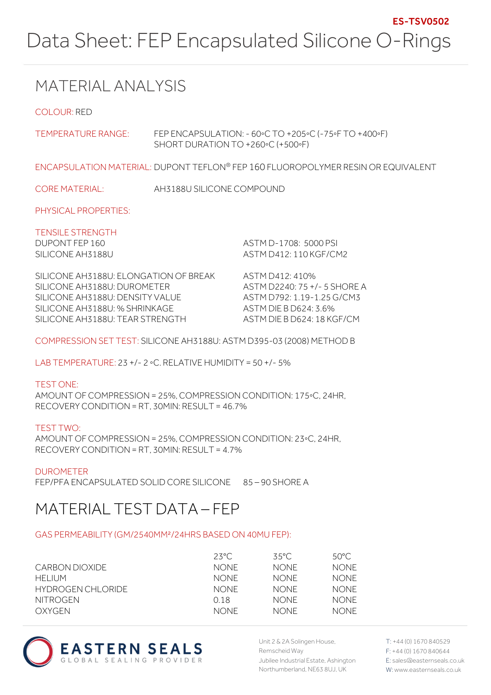# MATERIAL ANALYSIS

COLOUR: RED

TEMPERATURE RANGE: FEP ENCAPSULATION: - 60◦C TO +205◦C (-75◦F TO +400◦F) SHORT DURATION TO +260◦C (+500◦F)

ENCAPSULATION MATERIAL: DUPONT TEFLON® FEP 160 FLUOROPOLYMER RESIN OR EQUIVALENT

CORE MATERIAL: AH3188U SILICONE COMPOUND

PHYSICAL PROPERTIES:

TENSILE STRENGTH

DUPONT FEP 160 ASTM D-1708: 5000 PSI SILICONE AH3188U ASTM D412: 110 KGF/CM2

SILICONE AH3188U: ELONGATION OF BREAK ASTM D412: 410% SILICONE AH3188U: DUROMETER ASTM D2240: 75 +/- 5 SHORE A SILICONE AH3188U: DENSITY VALUE ASTM D792: 1.19-1.25 G/CM3 SILICONE AH3188U: % SHRINKAGE ASTM DIE B D624: 3.6% SILICONE AH3188U: TEAR STRENGTH ASTM DIE B D624: 18 KGF/CM

COMPRESSION SET TEST: SILICONE AH3188U: ASTM D395-03 (2008) METHOD B

LAB TEMPERATURE: 23 +/- 2 ◦C. RELATIVE HUMIDITY = 50 +/- 5%

TEST ONE: AMOUNT OF COMPRESSION = 25%, COMPRESSION CONDITION: 175◦C, 24HR, RECOVERY CONDITION = RT, 30MIN: RESULT = 46.7%

TEST TWO: AMOUNT OF COMPRESSION = 25%, COMPRESSION CONDITION: 23◦C, 24HR, RECOVERY CONDITION = RT, 30MIN: RESULT = 4.7%

DUROMETER FEP/PFA ENCAPSULATED SOLID CORE SILICONE 85 – 90 SHORE A

# MATERIAL TEST DATA – FEP

### GAS PERMEABILITY (GM/2540MM²/24HRS BASED ON 40MU FEP):

|                   | $23^{\circ}$ C | 35°C        | 50°C.       |
|-------------------|----------------|-------------|-------------|
| CARBON DIOXIDE    | <b>NONE</b>    | <b>NONE</b> | <b>NONE</b> |
| HELIUM            | <b>NONE</b>    | <b>NONE</b> | <b>NONE</b> |
| HYDROGEN CHLORIDE | <b>NONE</b>    | <b>NONE</b> | <b>NONE</b> |
| NITROGEN          | O 18           | <b>NONE</b> | NONF.       |
| OXYGEN            | <b>NONE</b>    | NONF.       | NONF.       |



Unit 2 & 2A Solingen House, Remscheid Way Jubilee Industrial Estate, Ashington Northumberland, NE63 8UJ, UK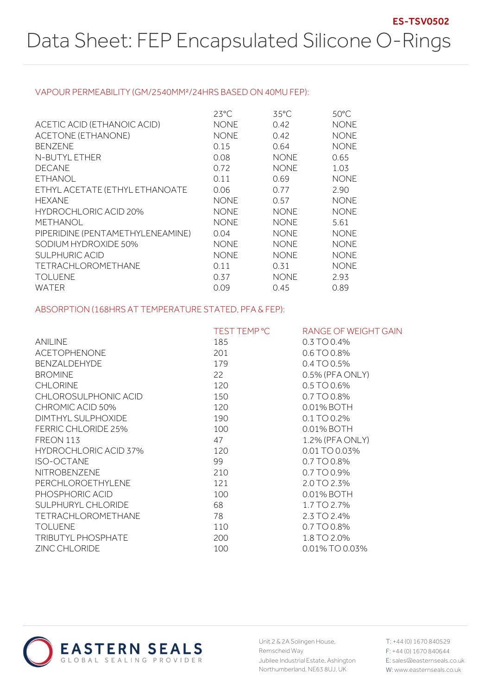#### VAPOUR PERMEABILITY (GM/2540MM²/24HRS BASED ON 40MU FEP):

|                                  | $23^{\circ}$ C | $35^{\circ}$ C | $50^{\circ}$ C |
|----------------------------------|----------------|----------------|----------------|
| ACETIC ACID (ETHANOIC ACID)      | <b>NONE</b>    | 0.42           | <b>NONE</b>    |
| ACETONE (ETHANONE)               | <b>NONE</b>    | 0.42           | <b>NONE</b>    |
| <b>BENZENE</b>                   | 0.15           | 0.64           | <b>NONE</b>    |
| N-BUTYL ETHER                    | 0.08           | <b>NONE</b>    | 0.65           |
| <b>DECANE</b>                    | 0.72           | <b>NONE</b>    | 1.03           |
| <b>ETHANOL</b>                   | 0.11           | 0.69           | <b>NONE</b>    |
| ETHYL ACETATE (ETHYL ETHANOATE   | 0.06           | 0.77           | 2.90           |
| <b>HEXANE</b>                    | <b>NONE</b>    | 0.57           | <b>NONE</b>    |
| HYDROCHLORIC ACID 20%            | <b>NONE</b>    | <b>NONE</b>    | <b>NONE</b>    |
| <b>METHANOL</b>                  | <b>NONE</b>    | <b>NONE</b>    | 5.61           |
| PIPERIDINE (PENTAMETHYLENEAMINE) | 0.04           | <b>NONE</b>    | <b>NONE</b>    |
| SODIUM HYDROXIDE 50%             | <b>NONE</b>    | <b>NONE</b>    | <b>NONE</b>    |
| <b>SULPHURIC ACID</b>            | <b>NONE</b>    | <b>NONE</b>    | <b>NONE</b>    |
| TETRACHLOROMETHANE               | 0.11           | 0.31           | <b>NONE</b>    |
| <b>TOLUENE</b>                   | 0.37           | <b>NONE</b>    | 2.93           |
| <b>WATER</b>                     | 0.09           | 0.45           | 0.89           |

### ABSORPTION (168HRS AT TEMPERATURE STATED, PFA & FEP):

|                              | TEST TEMP °C | RANGE OF WEIGHT GAIN |
|------------------------------|--------------|----------------------|
| <b>ANILINE</b>               | 185          | $0.3$ TO 0.4%        |
| <b>ACETOPHENONE</b>          | 201          | 0.6 TO 0.8%          |
| <b>BENZALDEHYDE</b>          | 179          | 0.4 TO 0.5%          |
| <b>BROMINE</b>               | 22           | $0.5\%$ (PFA ONLY)   |
| <b>CHLORINE</b>              | 120          | $0.5$ TO 0.6%        |
| CHLOROSULPHONIC ACID         | 150          | 0.7 TO 0.8%          |
| CHROMIC ACID 50%             | 120          | 0.01% BOTH           |
| DIMTHYL SULPHOXIDE           | 190          | 0.1 TO 0.2%          |
| <b>FERRIC CHLORIDE 25%</b>   | 100          | 0.01% BOTH           |
| FREON 113                    | 47           | 1.2% (PFA ONLY)      |
| <b>HYDROCHLORIC ACID 37%</b> | 120          | 0.01 TO 0.03%        |
| <b>ISO-OCTANE</b>            | 99           | 0.7 TO 0.8%          |
| <b>NITROBENZENE</b>          | 210          | 0.7 TO 0.9%          |
| PERCHLOROETHYLENE            | 121          | 2.0 TO 2.3%          |
| PHOSPHORIC ACID              | 100          | 0.01% BOTH           |
| SULPHURYL CHLORIDE           | 68           | 1.7 TO 2.7%          |
| <b>TETRACHLOROMETHANE</b>    | 78           | 2.3 TO 2.4%          |
| <b>TOLUENE</b>               | 110          | 0.7 TO 0.8%          |
| TRIBUTYL PHOSPHATE           | 200          | 1.8 TO 2.0%          |
| ZINC CHLORIDE                | 100          | 0.01% TO 0.03%       |



Unit 2 & 2A Solingen House, Remscheid Way Jubilee Industrial Estate, Ashington Northumberland, NE63 8UJ, UK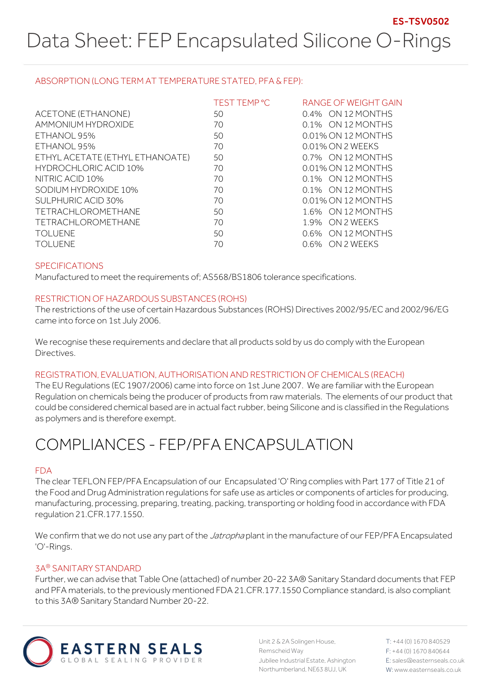### ABSORPTION (LONG TERM AT TEMPERATURE STATED, PFA & FEP):

|                                 | TEST TEMP °C | RANGE OF WEIGHT GAIN |
|---------------------------------|--------------|----------------------|
| ACETONE (ETHANONE)              | 50           | 0.4% ON 12 MONTHS    |
| AMMONIUM HYDROXIDE              | 70           | 0.1% ON 12 MONTHS    |
| ETHANOL 95%                     | 50           | 0.01% ON 12 MONTHS   |
| ETHANOL 95%                     | 70           | 0.01% ON 2 WEEKS     |
| ETHYL ACETATE (ETHYL ETHANOATE) | 50           | 0.7% ON 12 MONTHS    |
| <b>HYDROCHLORIC ACID 10%</b>    | 70           | 0.01% ON 12 MONTHS   |
| NITRIC ACID 10%                 | 70           | 0.1% ON 12 MONTHS    |
| SODIUM HYDROXIDE 10%            | 70           | 0.1% ON 12 MONTHS    |
| SULPHURIC ACID 30%              | 70           | 0.01% ON 12 MONTHS   |
| <b>TETRACHLOROMETHANE</b>       | 50           | 1.6% ON 12 MONTHS    |
| <b>TETRACHLOROMETHANE</b>       | 70           | 1.9% ON 2 WEEKS      |
| <b>TOLUENE</b>                  | 50           | 0.6% ON 12 MONTHS    |
| TOI UFNE                        | 70           | 0.6% ON 2 WEEKS      |

### SPECIFICATIONS

Manufactured to meet the requirements of; AS568/BS1806 tolerance specifications.

#### RESTRICTION OF HAZARDOUS SUBSTANCES (ROHS)

The restrictions of the use of certain Hazardous Substances (ROHS) Directives 2002/95/EC and 2002/96/EG came into force on 1st July 2006.

We recognise these requirements and declare that all products sold by us do comply with the European Directives.

### REGISTRATION, EVALUATION, AUTHORISATION AND RESTRICTION OF CHEMICALS (REACH)

The EU Regulations (EC 1907/2006) came into force on 1st June 2007. We are familiar with the European Regulation on chemicals being the producer of products from raw materials. The elements of our product that could be considered chemical based are in actual fact rubber, being Silicone and is classified in the Regulations as polymers and is therefore exempt.

# COMPLIANCES - FEP/PFA ENCAPSULATION

#### FDA

The clear TEFLON FEP/PFA Encapsulation of our Encapsulated 'O' Ring complies with Part 177 of Title 21 of the Food and Drug Administration regulations for safe use as articles or components of articles for producing, manufacturing, processing, preparing, treating, packing, transporting or holding food in accordance with FDA regulation 21.CFR.177.1550.

We confirm that we do not use any part of the *Jatropha* plant in the manufacture of our FEP/PFA Encapsulated 'O'-Rings.

#### 3A® SANITARY STANDARD

Further, we can advise that Table One (attached) of number 20-22 3A® Sanitary Standard documents that FEP and PFA materials, to the previously mentioned FDA 21.CFR.177.1550 Compliance standard, is also compliant to this 3A® Sanitary Standard Number 20-22.



Unit 2 & 2A Solingen House, Remscheid Way Jubilee Industrial Estate, Ashington Northumberland, NE63 8UJ, UK